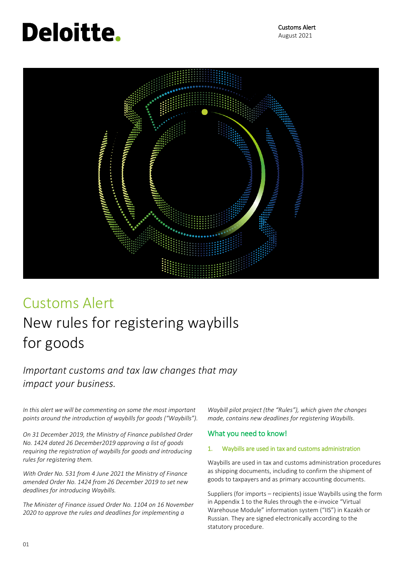# **Deloitte.**

 Customs Alert August 2021



## Customs Alert

## New rules for registering waybills for goods

### *Important customs and tax law changes that may impact your business.*

*In this alert we will be commenting on some the most important points around the introduction of waybills for goods ("Waybills").*

*On 31 December 2019, the Ministry of Finance published Order No. 1424 dated 26 December2019 approving a list of goods requiring the registration of waybills for goods and introducing rules for registering them.*

*With Order No. 531 from 4 June 2021 the Ministry of Finance amended Order No. 1424 from 26 December 2019 to set new deadlines for introducing Waybills.*

*The Minister of Finance issued Order No. 1104 on 16 November 2020 to approve the rules and deadlines for implementing a* 

*Waybill pilot project (the "Rules"), which given the changes made, contains new deadlines for registering Waybills*.

#### What you need to know!

#### 1. Waybills are used in tax and customs administration

Waybills are used in tax and customs administration procedures as shipping documents, including to confirm the shipment of goods to taxpayers and as primary accounting documents.

Suppliers (for imports – recipients) issue Waybills using the form in Appendix 1 to the Rules through the e-invoice "Virtual Warehouse Module" information system ("IIS") in Kazakh or Russian. They are signed electronically according to the statutory procedure.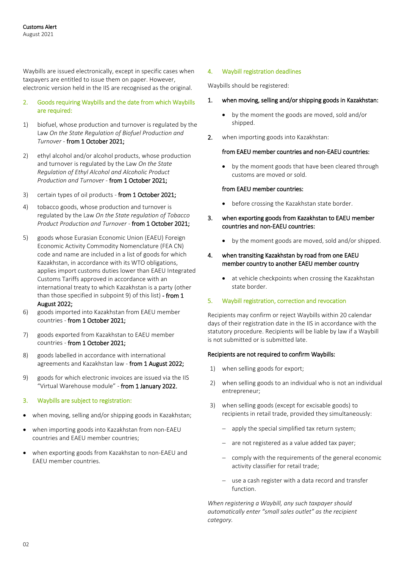Waybills are issued electronically, except in specific cases when taxpayers are entitled to issue them on paper. However, electronic version held in the IIS are recognised as the original.

- 2. Goods requiring Waybills and the date from which Waybills are required:
- 1) biofuel, whose production and turnover is regulated by the Law *On the State Regulation of Biofuel Production and Turnover* - from 1 October 2021;
- 2) ethyl alcohol and/or alcohol products, whose production and turnover is regulated by the Law *On the State Regulation of Ethyl Alcohol and Alcoholic Product Production and Turnover* - from 1 October 2021;
- 3) certain types of oil products from 1 October 2021;
- 4) tobacco goods, whose production and turnover is regulated by the Law *On the State regulation of Tobacco Product Production and Turnover* - from 1 October 2021;
- 5) goods whose Eurasian Economic Union (EAEU) Foreign Economic Activity Commodity Nomenclature (FEA CN) code and name are included in a list of goods for which Kazakhstan, in accordance with its WTO obligations, applies import customs duties lower than EAEU Integrated Customs Tariffs approved in accordance with an international treaty to which Kazakhstan is a party (other than those specified in subpoint 9) of this list) - from 1 August 2022;
- 6) goods imported into Kazakhstan from EAEU member countries - from 1 October 2021;
- 7) goods exported from Kazakhstan to EAEU member countries - from 1 October 2021;
- 8) goods labelled in accordance with international agreements and Kazakhstan law - from 1 August 2022;
- 9) goods for which electronic invoices are issued via the IIS "Virtual Warehouse module" - from 1 January 2022.
- 3. Waybills are subject to registration:
- when moving, selling and/or shipping goods in Kazakhstan;
- when importing goods into Kazakhstan from non-EAEU countries and EAEU member countries;
- when exporting goods from Kazakhstan to non-EAEU and EAEU member countries.

#### 4. Waybill registration deadlines

Waybills should be registered:

#### 1. when moving, selling and/or shipping goods in Kazakhstan:

- by the moment the goods are moved, sold and/or shipped.
- 2. when importing goods into Kazakhstan:

#### from EAEU member countries and non-EAEU countries:

 by the moment goods that have been cleared through customs are moved or sold.

#### from EAEU member countries:

- before crossing the Kazakhstan state border.
- 3. when exporting goods from Kazakhstan to EAEU member countries and non-EAEU countries:
	- by the moment goods are moved, sold and/or shipped.

#### 4. when transiting Kazakhstan by road from one EAEU member country to another EAEU member country

 at vehicle checkpoints when crossing the Kazakhstan state border.

#### 5. Waybill registration, correction and revocation

Recipients may confirm or reject Waybills within 20 calendar days of their registration date in the IIS in accordance with the statutory procedure. Recipients will be liable by law if a Waybill is not submitted or is submitted late.

#### Recipients are not required to confirm Waybills:

- 1) when selling goods for export;
- 2) when selling goods to an individual who is not an individual entrepreneur;
- 3) when selling goods (except for excisable goods) to recipients in retail trade, provided they simultaneously:
	- apply the special simplified tax return system;
	- are not registered as a value added tax payer;
	- comply with the requirements of the general economic activity classifier for retail trade;
	- use a cash register with a data record and transfer function.

*When registering a Waybill, any such taxpayer should automatically enter "small sales outlet" as the recipient category.*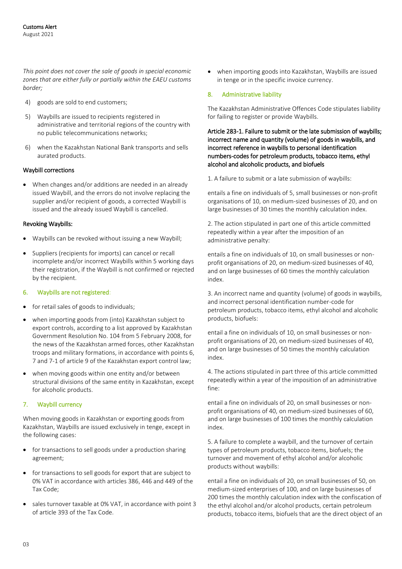*This point does not cover the sale of goods in special economic zones that are either fully or partially within the EAEU customs border;*

- 4) goods are sold to end customers;
- 5) Waybills are issued to recipients registered in administrative and territorial regions of the country with no public telecommunications networks;
- 6) when the Kazakhstan National Bank transports and sells aurated products.

#### Waybill corrections

 When changes and/or additions are needed in an already issued Waybill, and the errors do not involve replacing the supplier and/or recipient of goods, a corrected Waybill is issued and the already issued Waybill is cancelled.

#### Revoking Waybills:

- Waybills can be revoked without issuing a new Waybill;
- Suppliers (recipients for imports) can cancel or recall incomplete and/or incorrect Waybills within 5 working days their registration, if the Waybill is not confirmed or rejected by the recipient.

#### 6. Waybills are not registered:

- for retail sales of goods to individuals;
- when importing goods from (into) Kazakhstan subject to export controls, according to a list approved by Kazakhstan Government Resolution No. 104 from 5 February 2008, for the news of the Kazakhstan armed forces, other Kazakhstan troops and military formations, in accordance with points 6, 7 and 7-1 of article 9 of the Kazakhstan export control law;
- when moving goods within one entity and/or between structural divisions of the same entity in Kazakhstan, except for alcoholic products.

#### 7. Waybill currency

When moving goods in Kazakhstan or exporting goods from Kazakhstan, Waybills are issued exclusively in tenge, except in the following cases:

- for transactions to sell goods under a production sharing agreement;
- for transactions to sell goods for export that are subject to 0% VAT in accordance with articles 386, 446 and 449 of the Tax Code;
- sales turnover taxable at 0% VAT, in accordance with point 3 of article 393 of the Tax Code.

 when importing goods into Kazakhstan, Waybills are issued in tenge or in the specific invoice currency.

#### 8. Administrative liability

The Kazakhstan Administrative Offences Code stipulates liability for failing to register or provide Waybills.

Article 283-1. Failure to submit or the late submission of waybills; incorrect name and quantity (volume) of goods in waybills, and incorrect reference in waybills to personal identification numbers-codes for petroleum products, tobacco items, ethyl alcohol and alcoholic products, and biofuels

1. A failure to submit or a late submission of waybills:

entails a fine on individuals of 5, small businesses or non-profit organisations of 10, on medium-sized businesses of 20, and on large businesses of 30 times the monthly calculation index.

2. The action stipulated in part one of this article committed repeatedly within a year after the imposition of an administrative penalty:

entails a fine on individuals of 10, on small businesses or nonprofit organisations of 20, on medium-sized businesses of 40, and on large businesses of 60 times the monthly calculation index.

3. An incorrect name and quantity (volume) of goods in waybills, and incorrect personal identification number-code for petroleum products, tobacco items, ethyl alcohol and alcoholic products, biofuels:

entail a fine on individuals of 10, on small businesses or nonprofit organisations of 20, on medium-sized businesses of 40, and on large businesses of 50 times the monthly calculation index.

4. The actions stipulated in part three of this article committed repeatedly within a year of the imposition of an administrative fine:

entail a fine on individuals of 20, on small businesses or nonprofit organisations of 40, on medium-sized businesses of 60, and on large businesses of 100 times the monthly calculation index.

5. A failure to complete a waybill, and the turnover of certain types of petroleum products, tobacco items, biofuels; the turnover and movement of ethyl alcohol and/or alcoholic products without waybills:

entail a fine on individuals of 20, on small businesses of 50, on medium-sized enterprises of 100, and on large businesses of 200 times the monthly calculation index with the confiscation of the ethyl alcohol and/or alcohol products, certain petroleum products, tobacco items, biofuels that are the direct object of an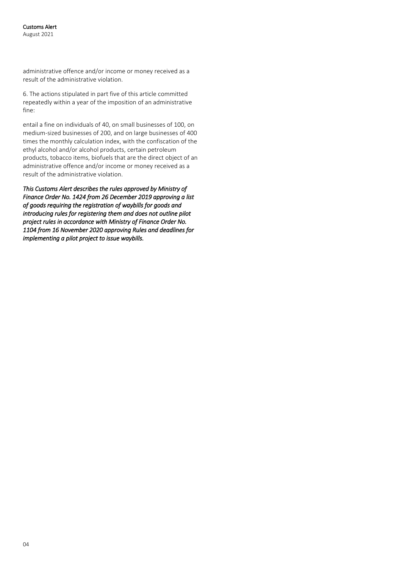administrative offence and/or income or money received as a result of the administrative violation.

6. The actions stipulated in part five of this article committed repeatedly within a year of the imposition of an administrative fine:

entail a fine on individuals of 40, on small businesses of 100, on medium-sized businesses of 200, and on large businesses of 400 times the monthly calculation index, with the confiscation of the ethyl alcohol and/or alcohol products, certain petroleum products, tobacco items, biofuels that are the direct object of an administrative offence and/or income or money received as a result of the administrative violation.

*This Customs Alert describes the rules approved by Ministry of Finance Order No. 1424 from 26 December 2019 approving a list of goods requiring the registration of waybills for goods and introducing rules for registering them and does not outline pilot project rules in accordance with Ministry of Finance Order No. 1104 from 16 November 2020 approving Rules and deadlines for implementing a pilot project to issue waybills.*